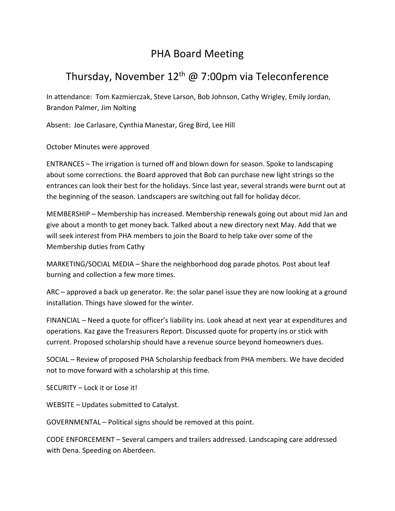## PHA Board Meeting

## Thursday, November  $12<sup>th</sup>$  @ 7:00pm via Teleconference

In attendance: Tom Kazmierczak, Steve Larson, Bob Johnson, Cathy Wrigley, Emily Jordan, Brandon Palmer, Jim Nolting

Absent: Joe Carlasare, Cynthia Manestar, Greg Bird, Lee Hill

October Minutes were approved

ENTRANCES – The irrigation is turned off and blown down for season. Spoke to landscaping about some corrections. the Board approved that Bob can purchase new light strings so the entrances can look their best for the holidays. Since last year, several strands were burnt out at the beginning of the season. Landscapers are switching out fall for holiday décor.

MEMBERSHIP – Membership has increased. Membership renewals going out about mid Jan and give about a month to get money back. Talked about a new directory next May. Add that we will seek interest from PHA members to join the Board to help take over some of the Membership duties from Cathy

MARKETING/SOCIAL MEDIA – Share the neighborhood dog parade photos. Post about leaf burning and collection a few more times.

ARC – approved a back up generator. Re: the solar panel issue they are now looking at a ground installation. Things have slowed for the winter.

FINANCIAL – Need a quote for officer's liability ins. Look ahead at next year at expenditures and operations. Kaz gave the Treasurers Report. Discussed quote for property ins or stick with current. Proposed scholarship should have a revenue source beyond homeowners dues.

SOCIAL – Review of proposed PHA Scholarship feedback from PHA members. We have decided not to move forward with a scholarship at this time.

SECURITY – Lock it or Lose it!

WEBSITE – Updates submitted to Catalyst.

GOVERNMENTAL – Political signs should be removed at this point.

CODE ENFORCEMENT – Several campers and trailers addressed. Landscaping care addressed with Dena. Speeding on Aberdeen.